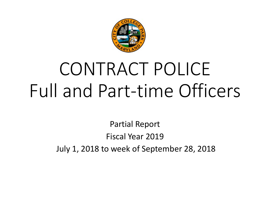

# CONTRACT POLICE Full and Part-time Officers

Partial Report Fiscal Year 2019 July 1, 2018 to week of September 28, 2018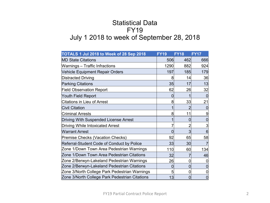### Statistical Data FY19 July 1 2018 to week of September 28, 2018

| TOTALS 1 Jul 2018 to Week of 28 Sep 2018       | <b>FY19</b> | <b>FY18</b>     | <b>FY17</b>    |
|------------------------------------------------|-------------|-----------------|----------------|
| <b>MD State Citations</b>                      | 506         | 462             | 666            |
| Warnings - Traffic Infractions                 | 1290        | 882             | 924            |
| Vehicle Equipment Repair Orders                | 197         | 185             | 179            |
| <b>Distracted Driving</b>                      | 8           | 14              | 36             |
| <b>Parking Citations</b>                       | 35          | 17              | 13             |
| <b>Field Observation Report</b>                | 62          | 26              | 32             |
| Youth Field Report                             | $\mathbf 0$ |                 | $\theta$       |
| <b>Citations in Lieu of Arrest</b>             | 8           | 33              | 21             |
| <b>Civil Citation</b>                          | 1           |                 | $\mathbf 0$    |
| <b>Criminal Arrests</b>                        | 8           | 11              | 9              |
| Driving With Suspended License Arrest          | 1           | 0               | $\mathbf 0$    |
| <b>Driving While Intoxicated Arrest</b>        |             | 2               | 3              |
| <b>Warrant Arrest</b>                          | 0           | $\overline{3}$  | 6              |
| Premise Checks (Vacation Checks)               | 92          | 65              | 58             |
| Referral-Student Code of Conduct by Police     | 33          | 30 <sub>l</sub> | $\overline{7}$ |
| Zone 1/Down Town Area Pedestrian Warnings      | 110         | 60              | 134            |
| Zone 1/Down Town Area Pedestrian Citations     | 32          |                 | 46             |
| Zone 2/Berwyn-Lakeland Pedestrian Warnings     | 26          | 0               | 0              |
| Zone 2/Berwyn-Lakeland Pedestrian Citations    | 0           | 0               | $\mathbf 0$    |
| Zone 3/North College Park Pedestrian Warnings  | 5           | 0               | 0              |
| Zone 3/North College Park Pedestrian Citations | 13          | 0               | $\mathbf 0$    |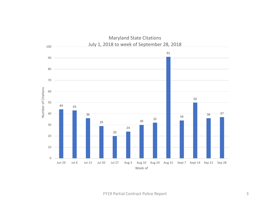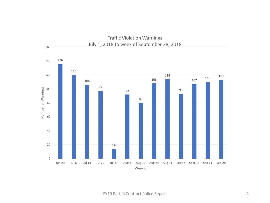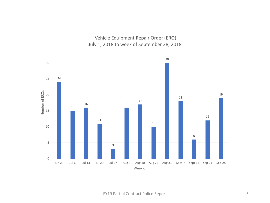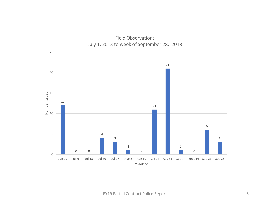

#### Field Observations July 1, 2018 to week of September 28, 2018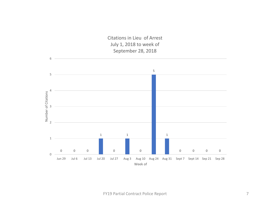Citations in Lieu of Arrest July 1, 2018 to week of September 28, 2018

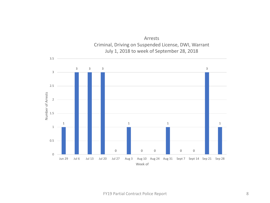

Arrests Criminal, Driving on Suspended License, DWI, Warrant July 1, 2018 to week of September 28, 2018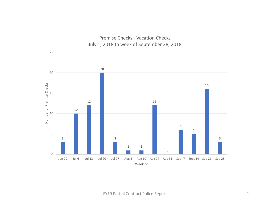

## Premise Checks - Vacation Checks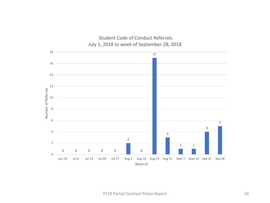

## Student Code of Conduct Referrals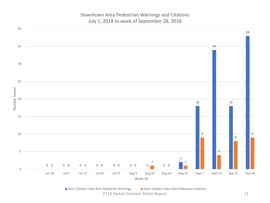Downtown Area Pedestrian Warnings and Citations July 1, 2018 to week of September 28, 2018



FY19 Partial Contract Police Report 11 ■ Zone 1/Down Town Area Pedestrian Warnings ■ Zone 1/Down Town Area Pedestrian Citations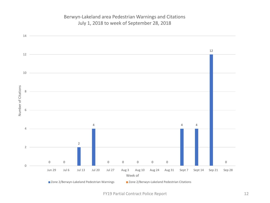#### Berwyn-Lakeland area Pedestrian Warnings and Citations July 1, 2018 to week of September 28, 2018